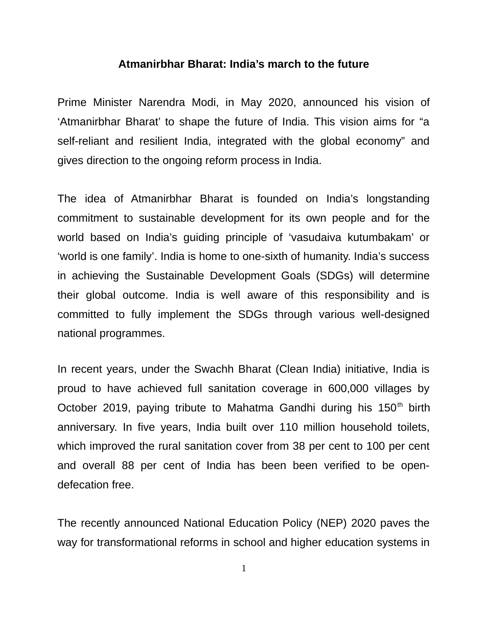## **Atmanirbhar Bharat: India's march to the future**

Prime Minister Narendra Modi, in May 2020, announced his vision of 'Atmanirbhar Bharat' to shape the future of India. This vision aims for "a self-reliant and resilient India, integrated with the global economy" and gives direction to the ongoing reform process in India.

The idea of Atmanirbhar Bharat is founded on India's longstanding commitment to sustainable development for its own people and for the world based on India's guiding principle of 'vasudaiva kutumbakam' or 'world is one family'. India is home to one-sixth of humanity. India's success in achieving the Sustainable Development Goals (SDGs) will determine their global outcome. India is well aware of this responsibility and is committed to fully implement the SDGs through various well-designed national programmes.

In recent years, under the Swachh Bharat (Clean India) initiative, India is proud to have achieved full sanitation coverage in 600,000 villages by October 2019, paying tribute to Mahatma Gandhi during his  $150<sup>th</sup>$  birth anniversary. In five years, India built over 110 million household toilets, which improved the rural sanitation cover from 38 per cent to 100 per cent and overall 88 per cent of India has been been verified to be opendefecation free.

The recently announced National Education Policy (NEP) 2020 paves the way for transformational reforms in school and higher education systems in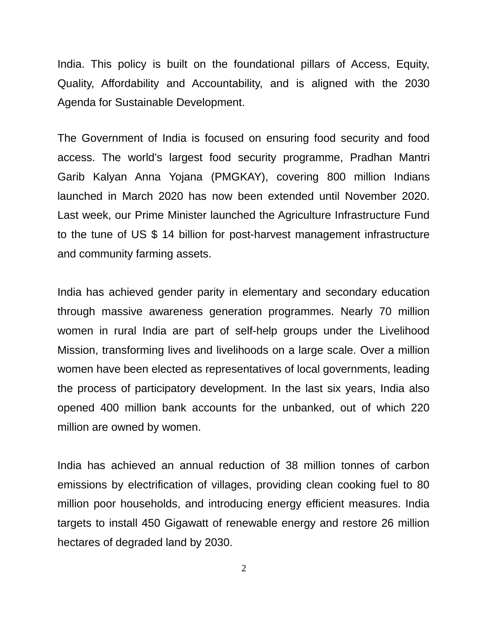India. This policy is built on the foundational pillars of Access, Equity, Quality, Affordability and Accountability, and is aligned with the 2030 Agenda for Sustainable Development.

The Government of India is focused on ensuring food security and food access. The world's largest food security programme, Pradhan Mantri Garib Kalyan Anna Yojana (PMGKAY), covering 800 million Indians launched in March 2020 has now been extended until November 2020. Last week, our Prime Minister launched the Agriculture Infrastructure Fund to the tune of US \$ 14 billion for post-harvest management infrastructure and community farming assets.

India has achieved gender parity in elementary and secondary education through massive awareness generation programmes. Nearly 70 million women in rural India are part of self-help groups under the Livelihood Mission, transforming lives and livelihoods on a large scale. Over a million women have been elected as representatives of local governments, leading the process of participatory development. In the last six years, India also opened 400 million bank accounts for the unbanked, out of which 220 million are owned by women.

India has achieved an annual reduction of 38 million tonnes of carbon emissions by electrification of villages, providing clean cooking fuel to 80 million poor households, and introducing energy efficient measures. India targets to install 450 Gigawatt of renewable energy and restore 26 million hectares of degraded land by 2030.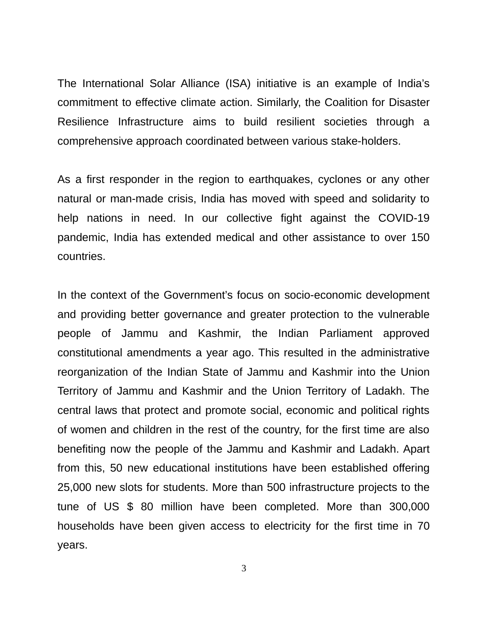The International Solar Alliance (ISA) initiative is an example of India's commitment to effective climate action. Similarly, the Coalition for Disaster Resilience Infrastructure aims to build resilient societies through a comprehensive approach coordinated between various stake-holders.

As a first responder in the region to earthquakes, cyclones or any other natural or man-made crisis, India has moved with speed and solidarity to help nations in need. In our collective fight against the COVID-19 pandemic, India has extended medical and other assistance to over 150 countries.

In the context of the Government's focus on socio-economic development and providing better governance and greater protection to the vulnerable people of Jammu and Kashmir, the Indian Parliament approved constitutional amendments a year ago. This resulted in the administrative reorganization of the Indian State of Jammu and Kashmir into the Union Territory of Jammu and Kashmir and the Union Territory of Ladakh. The central laws that protect and promote social, economic and political rights of women and children in the rest of the country, for the first time are also benefiting now the people of the Jammu and Kashmir and Ladakh. Apart from this, 50 new educational institutions have been established offering 25,000 new slots for students. More than 500 infrastructure projects to the tune of US \$ 80 million have been completed. More than 300,000 households have been given access to electricity for the first time in 70 years.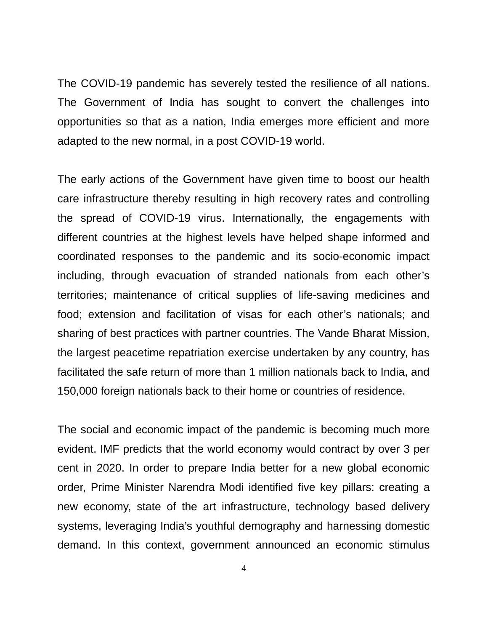The COVID-19 pandemic has severely tested the resilience of all nations. The Government of India has sought to convert the challenges into opportunities so that as a nation, India emerges more efficient and more adapted to the new normal, in a post COVID-19 world.

The early actions of the Government have given time to boost our health care infrastructure thereby resulting in high recovery rates and controlling the spread of COVID-19 virus. Internationally, the engagements with different countries at the highest levels have helped shape informed and coordinated responses to the pandemic and its socio-economic impact including, through evacuation of stranded nationals from each other's territories; maintenance of critical supplies of life-saving medicines and food; extension and facilitation of visas for each other's nationals; and sharing of best practices with partner countries. The Vande Bharat Mission, the largest peacetime repatriation exercise undertaken by any country, has facilitated the safe return of more than 1 million nationals back to India, and 150,000 foreign nationals back to their home or countries of residence.

The social and economic impact of the pandemic is becoming much more evident. IMF predicts that the world economy would contract by over 3 per cent in 2020. In order to prepare India better for a new global economic order, Prime Minister Narendra Modi identified five key pillars: creating a new economy, state of the art infrastructure, technology based delivery systems, leveraging India's youthful demography and harnessing domestic demand. In this context, government announced an economic stimulus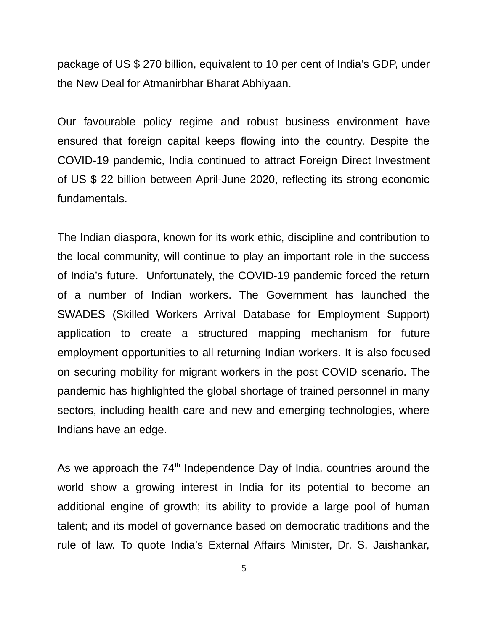package of US \$ 270 billion, equivalent to 10 per cent of India's GDP, under the New Deal for Atmanirbhar Bharat Abhiyaan.

Our favourable policy regime and robust business environment have ensured that foreign capital keeps flowing into the country. Despite the COVID-19 pandemic, India continued to attract Foreign Direct Investment of US \$ 22 billion between April-June 2020, reflecting its strong economic fundamentals.

The Indian diaspora, known for its work ethic, discipline and contribution to the local community, will continue to play an important role in the success of India's future. Unfortunately, the COVID-19 pandemic forced the return of a number of Indian workers. The Government has launched the SWADES (Skilled Workers Arrival Database for Employment Support) application to create a structured mapping mechanism for future employment opportunities to all returning Indian workers. It is also focused on securing mobility for migrant workers in the post COVID scenario. The pandemic has highlighted the global shortage of trained personnel in many sectors, including health care and new and emerging technologies, where Indians have an edge.

As we approach the  $74<sup>th</sup>$  Independence Day of India, countries around the world show a growing interest in India for its potential to become an additional engine of growth; its ability to provide a large pool of human talent; and its model of governance based on democratic traditions and the rule of law. To quote India's External Affairs Minister, Dr. S. Jaishankar,